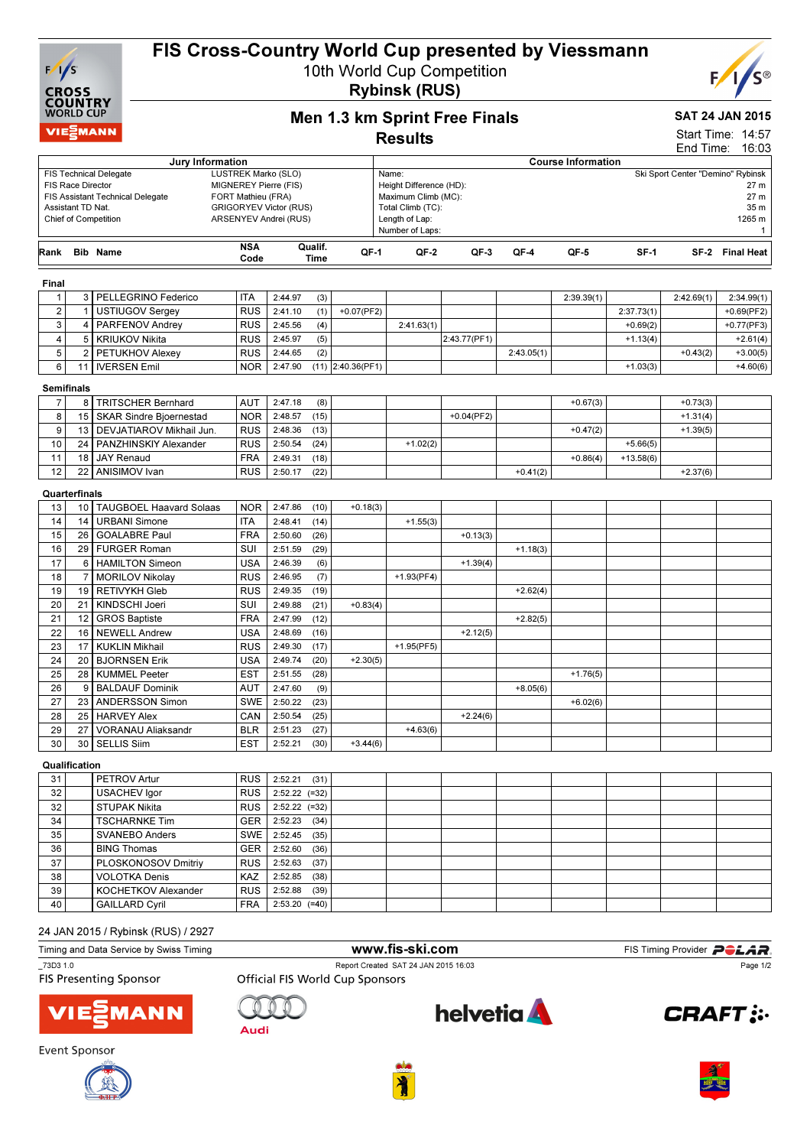

## FIS Cross-Country World Cup presented by Viessmann

10th World Cup Competition Rybinsk (RUS)



# Men 1.3 km Sprint Free Finals

### SAT 24 JAN 2015

**Results** 

| Start Time: 14:57 |       |
|-------------------|-------|
| End Time:         | 16:03 |

| Jury Information                                                                                                                                                                                                                                                           |               |                                           |                          |                    | LIIU TIIIIG.<br>10.UJ                                                                                                                                                                                                      |                     |              |               |            |            |             |            |                 |
|----------------------------------------------------------------------------------------------------------------------------------------------------------------------------------------------------------------------------------------------------------------------------|---------------|-------------------------------------------|--------------------------|--------------------|----------------------------------------------------------------------------------------------------------------------------------------------------------------------------------------------------------------------------|---------------------|--------------|---------------|------------|------------|-------------|------------|-----------------|
| <b>FIS Technical Delegate</b><br>LUSTREK Marko (SLO)<br>MIGNEREY Pierre (FIS)<br>FIS Race Director<br>FIS Assistant Technical Delegate<br>FORT Mathieu (FRA)<br><b>GRIGORYEV Victor (RUS)</b><br>Assistant TD Nat.<br><b>Chief of Competition</b><br>ARSENYEV Andrei (RUS) |               |                                           |                          |                    | <b>Course Information</b><br>Ski Sport Center "Demino" Rybinsk<br>Name:<br>Height Difference (HD):<br>27 m<br>Maximum Climb (MC):<br>27 m<br>35 m<br>Total Climb (TC):<br>1265 m<br>Length of Lap:<br>Number of Laps:<br>1 |                     |              |               |            |            |             |            |                 |
| Rank                                                                                                                                                                                                                                                                       |               | <b>Bib Name</b>                           | <b>NSA</b><br>Code       |                    | Qualif.<br>Time                                                                                                                                                                                                            | QF-1                | QF-2         | $QF-3$        | QF-4       | QF-5       | $SF-1$      |            | SF-2 Final Heat |
| Final                                                                                                                                                                                                                                                                      |               |                                           |                          |                    |                                                                                                                                                                                                                            |                     |              |               |            |            |             |            |                 |
| $\mathbf{1}$                                                                                                                                                                                                                                                               |               | 3   PELLEGRINO Federico                   | <b>ITA</b>               | 2:44.97            | (3)                                                                                                                                                                                                                        |                     |              |               |            | 2:39.39(1) |             | 2:42.69(1) | 2:34.99(1)      |
| $\overline{\mathbf{c}}$                                                                                                                                                                                                                                                    |               | 1 USTIUGOV Sergey                         | <b>RUS</b>               | 2:41.10            | (1)                                                                                                                                                                                                                        | $+0.07$ (PF2)       |              |               |            |            | 2:37.73(1)  |            | $+0.69$ (PF2)   |
| 3                                                                                                                                                                                                                                                                          | 4             | PARFENOV Andrey                           | <b>RUS</b>               | 2:45.56            | (4)                                                                                                                                                                                                                        |                     | 2:41.63(1)   |               |            |            | $+0.69(2)$  |            | $+0.77$ (PF3)   |
| 4                                                                                                                                                                                                                                                                          | 5             | KRIUKOV Nikita                            | <b>RUS</b>               | 2:45.97            | (5)                                                                                                                                                                                                                        |                     |              | 2:43.77(PF1)  |            |            | $+1.13(4)$  |            | $+2.61(4)$      |
| $\mathbf 5$                                                                                                                                                                                                                                                                | $\mathbf{2}$  | PETUKHOV Alexey                           | <b>RUS</b>               | 2:44.65            | (2)                                                                                                                                                                                                                        |                     |              |               | 2:43.05(1) |            |             | $+0.43(2)$ | $+3.00(5)$      |
| 6                                                                                                                                                                                                                                                                          | 11            | <b>IVERSEN Emil</b>                       | <b>NOR</b>               | 2:47.90            |                                                                                                                                                                                                                            | $(11)$ 2:40.36(PF1) |              |               |            |            | $+1.03(3)$  |            | $+4.60(6)$      |
|                                                                                                                                                                                                                                                                            |               |                                           |                          |                    |                                                                                                                                                                                                                            |                     |              |               |            |            |             |            |                 |
| <b>Semifinals</b>                                                                                                                                                                                                                                                          |               |                                           |                          |                    |                                                                                                                                                                                                                            |                     |              |               |            |            |             |            |                 |
| $\overline{7}$                                                                                                                                                                                                                                                             |               | 8   TRITSCHER Bernhard                    | <b>AUT</b>               | 2:47.18            | (8)                                                                                                                                                                                                                        |                     |              |               |            | $+0.67(3)$ |             | $+0.73(3)$ |                 |
| 8                                                                                                                                                                                                                                                                          |               | 15   SKAR Sindre Bjoernestad              | <b>NOR</b>               | 2:48.57            | (15)                                                                                                                                                                                                                       |                     |              | $+0.04$ (PF2) |            |            |             | $+1.31(4)$ |                 |
| 9                                                                                                                                                                                                                                                                          | 13            | DEVJATIAROV Mikhail Jun.                  | <b>RUS</b>               | 2:48.36            | (13)                                                                                                                                                                                                                       |                     |              |               |            | $+0.47(2)$ |             | $+1.39(5)$ |                 |
| 10                                                                                                                                                                                                                                                                         | 24            | PANZHINSKIY Alexander                     | <b>RUS</b>               | 2:50.54            | (24)                                                                                                                                                                                                                       |                     | $+1.02(2)$   |               |            |            | $+5.66(5)$  |            |                 |
| 11<br>12                                                                                                                                                                                                                                                                   | 18<br>22      | <b>JAY Renaud</b><br><b>ANISIMOV</b> Ivan | <b>FRA</b><br><b>RUS</b> | 2:49.31<br>2:50.17 | (18)<br>(22)                                                                                                                                                                                                               |                     |              |               | $+0.41(2)$ | $+0.86(4)$ | $+13.58(6)$ | $+2.37(6)$ |                 |
|                                                                                                                                                                                                                                                                            |               |                                           |                          |                    |                                                                                                                                                                                                                            |                     |              |               |            |            |             |            |                 |
|                                                                                                                                                                                                                                                                            | Quarterfinals |                                           |                          |                    |                                                                                                                                                                                                                            |                     |              |               |            |            |             |            |                 |
| 13                                                                                                                                                                                                                                                                         |               | 10 TAUGBOEL Haavard Solaas                | <b>NOR</b>               | 2:47.86            | (10)                                                                                                                                                                                                                       | $+0.18(3)$          |              |               |            |            |             |            |                 |
| 14                                                                                                                                                                                                                                                                         | 14            | <b>URBANI Simone</b>                      | ITA                      | 2:48.41            | (14)                                                                                                                                                                                                                       |                     | $+1.55(3)$   |               |            |            |             |            |                 |
| 15                                                                                                                                                                                                                                                                         | 26            | GOALABRE Paul                             | <b>FRA</b>               | 2:50.60            | (26)                                                                                                                                                                                                                       |                     |              | $+0.13(3)$    |            |            |             |            |                 |
| 16                                                                                                                                                                                                                                                                         | 29            | FURGER Roman                              | SUI                      | 2:51.59            | (29)                                                                                                                                                                                                                       |                     |              |               | $+1.18(3)$ |            |             |            |                 |
| 17                                                                                                                                                                                                                                                                         | 6             | HAMILTON Simeon                           | <b>USA</b>               | 2:46.39            | (6)                                                                                                                                                                                                                        |                     |              | $+1.39(4)$    |            |            |             |            |                 |
| 18                                                                                                                                                                                                                                                                         | 7             | <b>MORILOV Nikolay</b>                    | <b>RUS</b>               | 2:46.95            | (7)                                                                                                                                                                                                                        |                     | $+1.93(PF4)$ |               |            |            |             |            |                 |
| 19                                                                                                                                                                                                                                                                         | 19            | <b>RETIVYKH Gleb</b>                      | <b>RUS</b>               | 2:49.35            | (19)                                                                                                                                                                                                                       |                     |              |               | $+2.62(4)$ |            |             |            |                 |
| 20                                                                                                                                                                                                                                                                         | 21            | KINDSCHI Joeri                            | SUI                      | 2:49.88            | (21)                                                                                                                                                                                                                       | $+0.83(4)$          |              |               |            |            |             |            |                 |
| 21                                                                                                                                                                                                                                                                         | 12            | <b>GROS Baptiste</b>                      | <b>FRA</b>               | 2:47.99            | (12)                                                                                                                                                                                                                       |                     |              |               | $+2.82(5)$ |            |             |            |                 |
| 22                                                                                                                                                                                                                                                                         | 16            | <b>NEWELL Andrew</b>                      | USA                      | 2:48.69            | (16)                                                                                                                                                                                                                       |                     |              | $+2.12(5)$    |            |            |             |            |                 |
| 23                                                                                                                                                                                                                                                                         | 17            | <b>KUKLIN Mikhail</b>                     | <b>RUS</b>               | 2:49.30            | (17)                                                                                                                                                                                                                       |                     | $+1.95(PF5)$ |               |            |            |             |            |                 |
| 24<br>25                                                                                                                                                                                                                                                                   | 20<br>28      | <b>BJORNSEN Erik</b><br>KUMMEL Peeter     | USA<br>EST               | 2:49.74<br>2:51.55 | (20)<br>(28)                                                                                                                                                                                                               | $+2.30(5)$          |              |               |            | $+1.76(5)$ |             |            |                 |
| 26                                                                                                                                                                                                                                                                         | 9             | <b>BALDAUF Dominik</b>                    | AUT                      | 2:47.60            | (9)                                                                                                                                                                                                                        |                     |              |               | $+8.05(6)$ |            |             |            |                 |
| 27                                                                                                                                                                                                                                                                         | 23            | ANDERSSON Simon                           | <b>SWE</b>               | 2:50.22            | (23)                                                                                                                                                                                                                       |                     |              |               |            | $+6.02(6)$ |             |            |                 |
| 28                                                                                                                                                                                                                                                                         | 25            | <b>HARVEY Alex</b>                        | CAN                      | 2:50.54            | (25)                                                                                                                                                                                                                       |                     |              | $+2.24(6)$    |            |            |             |            |                 |
| 29                                                                                                                                                                                                                                                                         | 27            | <b>VORANAU Aliaksandr</b>                 | BLR                      | 2:51.23            | (27)                                                                                                                                                                                                                       |                     | $+4.63(6)$   |               |            |            |             |            |                 |
| 30                                                                                                                                                                                                                                                                         | 30            | <b>SELLIS Siim</b>                        | <b>EST</b>               | 2:52.21            | (30)                                                                                                                                                                                                                       | $+3.44(6)$          |              |               |            |            |             |            |                 |
|                                                                                                                                                                                                                                                                            | Qualification |                                           |                          |                    |                                                                                                                                                                                                                            |                     |              |               |            |            |             |            |                 |
| 31                                                                                                                                                                                                                                                                         |               | PETROV Artur                              | <b>RUS</b>               | 2:52.21            | (31)                                                                                                                                                                                                                       |                     |              |               |            |            |             |            |                 |
| 32                                                                                                                                                                                                                                                                         |               | <b>USACHEV Igor</b>                       | <b>RUS</b>               | $2:52.22$ (=32)    |                                                                                                                                                                                                                            |                     |              |               |            |            |             |            |                 |
| 32                                                                                                                                                                                                                                                                         |               | <b>STUPAK Nikita</b>                      | <b>RUS</b>               | 2:52.22 (=32)      |                                                                                                                                                                                                                            |                     |              |               |            |            |             |            |                 |
| 34                                                                                                                                                                                                                                                                         |               | <b>TSCHARNKE Tim</b>                      | GER                      | 2:52.23            | (34)                                                                                                                                                                                                                       |                     |              |               |            |            |             |            |                 |
| 35                                                                                                                                                                                                                                                                         |               | <b>SVANEBO Anders</b>                     | <b>SWE</b>               | 2:52.45            | (35)                                                                                                                                                                                                                       |                     |              |               |            |            |             |            |                 |
| 36                                                                                                                                                                                                                                                                         |               | <b>BING Thomas</b>                        | GER                      | 2:52.60            | (36)                                                                                                                                                                                                                       |                     |              |               |            |            |             |            |                 |
| 37                                                                                                                                                                                                                                                                         |               | PLOSKONOSOV Dmitriy                       | <b>RUS</b>               | 2:52.63            | (37)                                                                                                                                                                                                                       |                     |              |               |            |            |             |            |                 |
| 38                                                                                                                                                                                                                                                                         |               | <b>VOLOTKA Denis</b>                      | KAZ                      | 2:52.85            | (38)                                                                                                                                                                                                                       |                     |              |               |            |            |             |            |                 |
| 39                                                                                                                                                                                                                                                                         |               | KOCHETKOV Alexander                       | <b>RUS</b>               | 2:52.88            | (39)                                                                                                                                                                                                                       |                     |              |               |            |            |             |            |                 |
| 40                                                                                                                                                                                                                                                                         |               | <b>GAILLARD Cyril</b>                     | <b>FRA</b>               | $2:53.20$ (=40)    |                                                                                                                                                                                                                            |                     |              |               |            |            |             |            |                 |

| 24 JAN 2015 / Rybinsk (RUS) / 2927      |                                      |                                  |
|-----------------------------------------|--------------------------------------|----------------------------------|
| Timing and Data Service by Swiss Timing | www.fis-ski.com                      | FIS Timing Provider <b>POLAR</b> |
| $\_73D3$ 1.0                            | Report Created SAT 24 JAN 2015 16:03 | Page 1/2                         |

**Official FIS World Cup Sponsors**